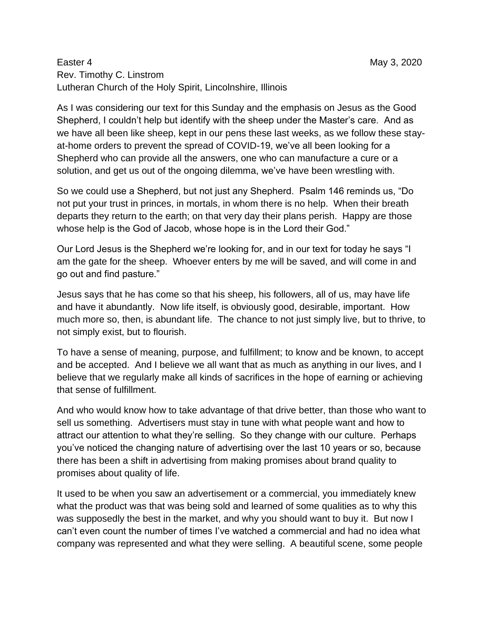## Easter 4 May 3, 2020 Rev. Timothy C. Linstrom Lutheran Church of the Holy Spirit, Lincolnshire, Illinois

As I was considering our text for this Sunday and the emphasis on Jesus as the Good Shepherd, I couldn't help but identify with the sheep under the Master's care. And as we have all been like sheep, kept in our pens these last weeks, as we follow these stayat-home orders to prevent the spread of COVID-19, we've all been looking for a Shepherd who can provide all the answers, one who can manufacture a cure or a solution, and get us out of the ongoing dilemma, we've have been wrestling with.

So we could use a Shepherd, but not just any Shepherd. Psalm 146 reminds us, "Do not put your trust in princes, in mortals, in whom there is no help. When their breath departs they return to the earth; on that very day their plans perish. Happy are those whose help is the God of Jacob, whose hope is in the Lord their God."

Our Lord Jesus is the Shepherd we're looking for, and in our text for today he says "I am the gate for the sheep. Whoever enters by me will be saved, and will come in and go out and find pasture."

Jesus says that he has come so that his sheep, his followers, all of us, may have life and have it abundantly. Now life itself, is obviously good, desirable, important. How much more so, then, is abundant life. The chance to not just simply live, but to thrive, to not simply exist, but to flourish.

To have a sense of meaning, purpose, and fulfillment; to know and be known, to accept and be accepted. And I believe we all want that as much as anything in our lives, and I believe that we regularly make all kinds of sacrifices in the hope of earning or achieving that sense of fulfillment.

And who would know how to take advantage of that drive better, than those who want to sell us something. Advertisers must stay in tune with what people want and how to attract our attention to what they're selling. So they change with our culture. Perhaps you've noticed the changing nature of advertising over the last 10 years or so, because there has been a shift in advertising from making promises about brand quality to promises about quality of life.

It used to be when you saw an advertisement or a commercial, you immediately knew what the product was that was being sold and learned of some qualities as to why this was supposedly the best in the market, and why you should want to buy it. But now I can't even count the number of times I've watched a commercial and had no idea what company was represented and what they were selling. A beautiful scene, some people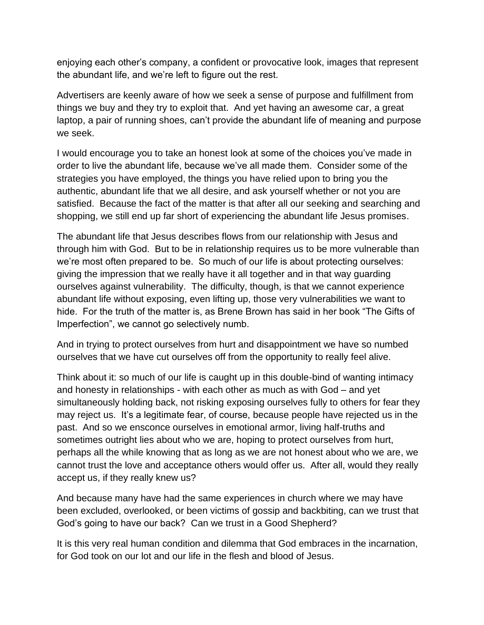enjoying each other's company, a confident or provocative look, images that represent the abundant life, and we're left to figure out the rest.

Advertisers are keenly aware of how we seek a sense of purpose and fulfillment from things we buy and they try to exploit that. And yet having an awesome car, a great laptop, a pair of running shoes, can't provide the abundant life of meaning and purpose we seek.

I would encourage you to take an honest look at some of the choices you've made in order to live the abundant life, because we've all made them. Consider some of the strategies you have employed, the things you have relied upon to bring you the authentic, abundant life that we all desire, and ask yourself whether or not you are satisfied. Because the fact of the matter is that after all our seeking and searching and shopping, we still end up far short of experiencing the abundant life Jesus promises.

The abundant life that Jesus describes flows from our relationship with Jesus and through him with God. But to be in relationship requires us to be more vulnerable than we're most often prepared to be. So much of our life is about protecting ourselves: giving the impression that we really have it all together and in that way guarding ourselves against vulnerability. The difficulty, though, is that we cannot experience abundant life without exposing, even lifting up, those very vulnerabilities we want to hide. For the truth of the matter is, as Brene Brown has said in her book "The Gifts of Imperfection", we cannot go selectively numb.

And in trying to protect ourselves from hurt and disappointment we have so numbed ourselves that we have cut ourselves off from the opportunity to really feel alive.

Think about it: so much of our life is caught up in this double-bind of wanting intimacy and honesty in relationships - with each other as much as with God – and yet simultaneously holding back, not risking exposing ourselves fully to others for fear they may reject us. It's a legitimate fear, of course, because people have rejected us in the past. And so we ensconce ourselves in emotional armor, living half-truths and sometimes outright lies about who we are, hoping to protect ourselves from hurt, perhaps all the while knowing that as long as we are not honest about who we are, we cannot trust the love and acceptance others would offer us. After all, would they really accept us, if they really knew us?

And because many have had the same experiences in church where we may have been excluded, overlooked, or been victims of gossip and backbiting, can we trust that God's going to have our back? Can we trust in a Good Shepherd?

It is this very real human condition and dilemma that God embraces in the incarnation, for God took on our lot and our life in the flesh and blood of Jesus.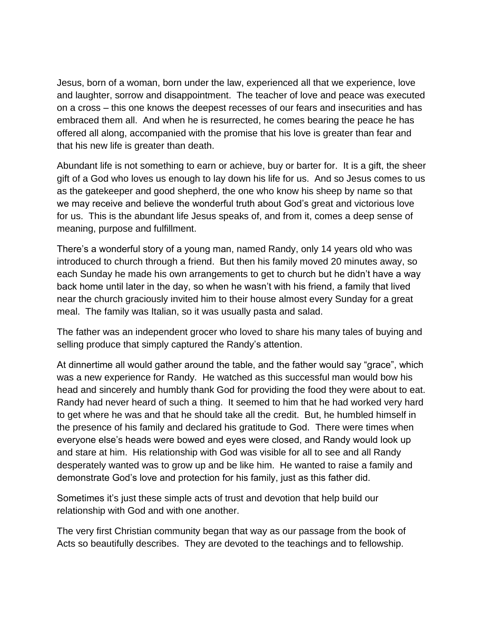Jesus, born of a woman, born under the law, experienced all that we experience, love and laughter, sorrow and disappointment. The teacher of love and peace was executed on a cross – this one knows the deepest recesses of our fears and insecurities and has embraced them all. And when he is resurrected, he comes bearing the peace he has offered all along, accompanied with the promise that his love is greater than fear and that his new life is greater than death.

Abundant life is not something to earn or achieve, buy or barter for. It is a gift, the sheer gift of a God who loves us enough to lay down his life for us. And so Jesus comes to us as the gatekeeper and good shepherd, the one who know his sheep by name so that we may receive and believe the wonderful truth about God's great and victorious love for us. This is the abundant life Jesus speaks of, and from it, comes a deep sense of meaning, purpose and fulfillment.

There's a wonderful story of a young man, named Randy, only 14 years old who was introduced to church through a friend. But then his family moved 20 minutes away, so each Sunday he made his own arrangements to get to church but he didn't have a way back home until later in the day, so when he wasn't with his friend, a family that lived near the church graciously invited him to their house almost every Sunday for a great meal. The family was Italian, so it was usually pasta and salad.

The father was an independent grocer who loved to share his many tales of buying and selling produce that simply captured the Randy's attention.

At dinnertime all would gather around the table, and the father would say "grace", which was a new experience for Randy. He watched as this successful man would bow his head and sincerely and humbly thank God for providing the food they were about to eat. Randy had never heard of such a thing. It seemed to him that he had worked very hard to get where he was and that he should take all the credit. But, he humbled himself in the presence of his family and declared his gratitude to God. There were times when everyone else's heads were bowed and eyes were closed, and Randy would look up and stare at him. His relationship with God was visible for all to see and all Randy desperately wanted was to grow up and be like him. He wanted to raise a family and demonstrate God's love and protection for his family, just as this father did.

Sometimes it's just these simple acts of trust and devotion that help build our relationship with God and with one another.

The very first Christian community began that way as our passage from the book of Acts so beautifully describes. They are devoted to the teachings and to fellowship.